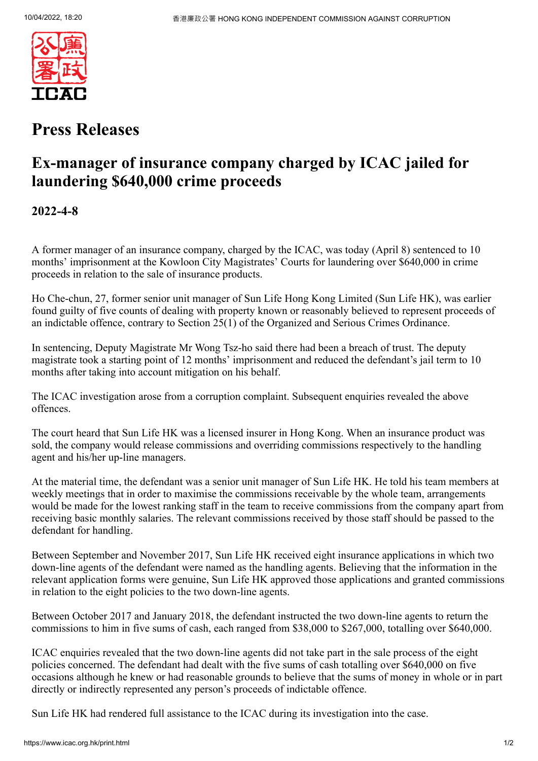

## **Press Releases**

## **Ex-manager of insurance company charged by ICAC jailed for laundering \$640,000 crime proceeds**

**2022-4-8**

A former manager of an insurance company, charged by the ICAC, was today (April 8) sentenced to 10 months' imprisonment at the Kowloon City Magistrates' Courts for laundering over \$640,000 in crime proceeds in relation to the sale of insurance products.

Ho Che-chun, 27, former senior unit manager of Sun Life Hong Kong Limited (Sun Life HK), was earlier found guilty of five counts of dealing with property known or reasonably believed to represent proceeds of an indictable offence, contrary to Section 25(1) of the Organized and Serious Crimes Ordinance.

In sentencing, Deputy Magistrate Mr Wong Tsz-ho said there had been a breach of trust. The deputy magistrate took a starting point of 12 months' imprisonment and reduced the defendant's jail term to 10 months after taking into account mitigation on his behalf.

The ICAC investigation arose from a corruption complaint. Subsequent enquiries revealed the above offences.

The court heard that Sun Life HK was a licensed insurer in Hong Kong. When an insurance product was sold, the company would release commissions and overriding commissions respectively to the handling agent and his/her up-line managers.

At the material time, the defendant was a senior unit manager of Sun Life HK. He told his team members at weekly meetings that in order to maximise the commissions receivable by the whole team, arrangements would be made for the lowest ranking staff in the team to receive commissions from the company apart from receiving basic monthly salaries. The relevant commissions received by those staff should be passed to the defendant for handling.

Between September and November 2017, Sun Life HK received eight insurance applications in which two down-line agents of the defendant were named as the handling agents. Believing that the information in the relevant application forms were genuine, Sun Life HK approved those applications and granted commissions in relation to the eight policies to the two down-line agents.

Between October 2017 and January 2018, the defendant instructed the two down-line agents to return the commissions to him in five sums of cash, each ranged from \$38,000 to \$267,000, totalling over \$640,000.

ICAC enquiries revealed that the two down-line agents did not take part in the sale process of the eight policies concerned. The defendant had dealt with the five sums of cash totalling over \$640,000 on five occasions although he knew or had reasonable grounds to believe that the sums of money in whole or in part directly or indirectly represented any person's proceeds of indictable offence.

Sun Life HK had rendered full assistance to the ICAC during its investigation into the case.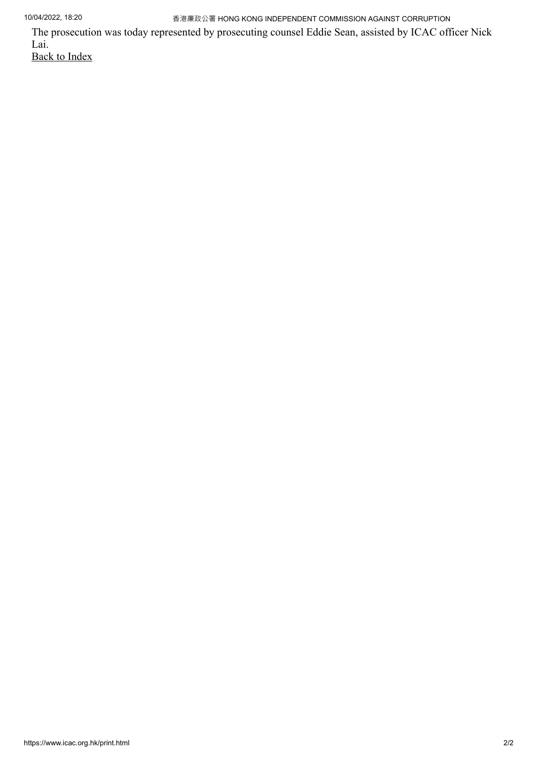10/04/2022, 18:20 香港廉政公署 HONG KONG INDEPENDENT COMMISSION AGAINST CORRUPTION

The prosecution was today represented by prosecuting counsel Eddie Sean, assisted by ICAC officer Nick Lai. [Back to Index](https://www.icac.org.hk/index.html)